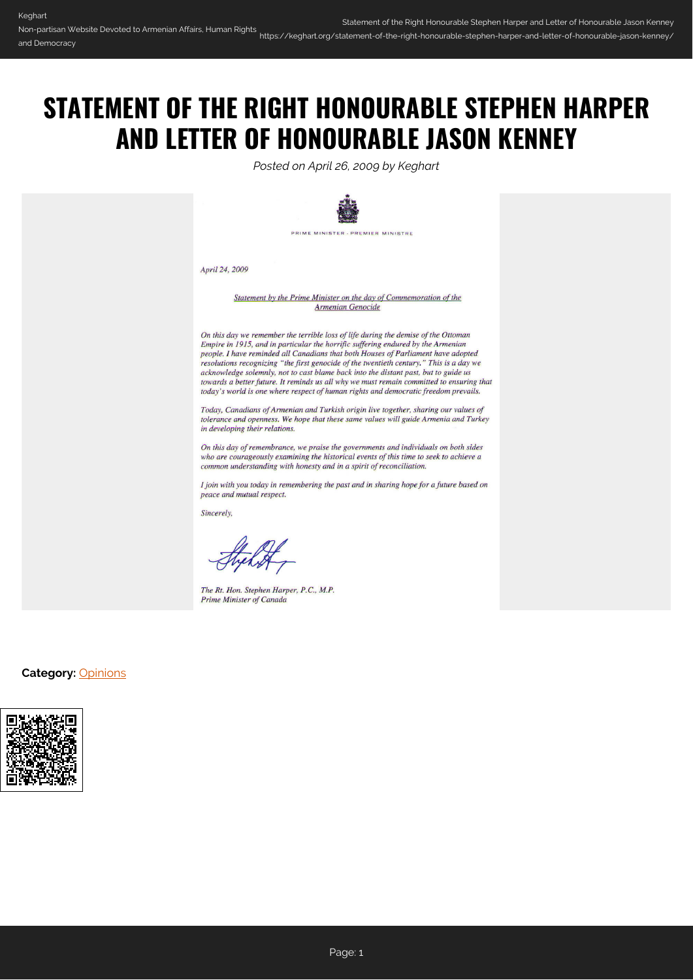## **STATEMENT OF THE RIGHT HONOURABLE STEPHEN HARPER AND LETTER OF HONOURABLE JASON KENNEY**

*Posted on April 26, 2009 by Keghart*



April 24, 2009

Statement by the Prime Minister on the day of Commemoration of the **Armenian Genocide** 

On this day we remember the terrible loss of life during the demise of the Ottoman Empire in 1915, and in particular the horrific suffering endured by the Armenian people. I have reminded all Canadians that both Houses of Parliament have adopted resolutions recognizing "the first genocide of the twentieth century." This is a day we acknowledge solemnly, not to cast blame back into the distant past, but to guide us towards a better future. It reminds us all why we must remain committed to ensuring that today's world is one where respect of human rights and democratic freedom prevails.

Today, Canadians of Armenian and Turkish origin live together, sharing our values of tolerance and openness. We hope that these same values will guide Armenia and Turkey in developing their relations.

On this day of remembrance, we praise the governments and individuals on both sides who are courageously examining the historical events of this time to seek to achieve a common understanding with honesty and in a spirit of reconciliation.

I join with you today in remembering the past and in sharing hope for a future based on peace and mutual respect.

Sincerely,

The Rt. Hon. Stephen Harper, P.C., M.P. **Prime Minister of Canada** 

## **Category:** [Opinions](https://keghart.org/category/opinions/)

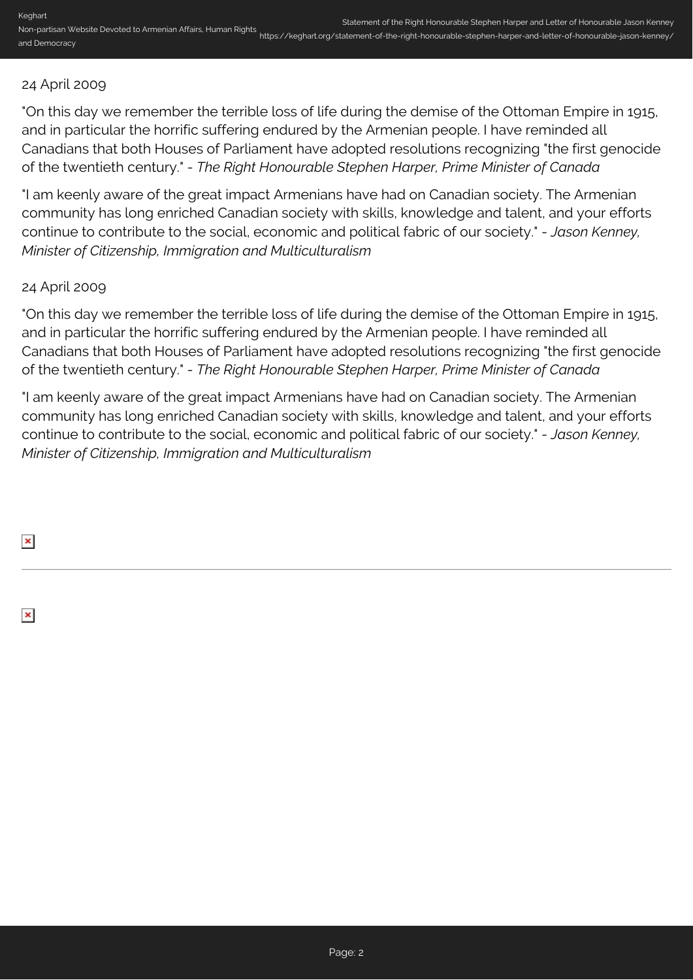## 24 April 2009

"On this day we remember the terrible loss of life during the demise of the Ottoman Empire in 1915, and in particular the horrific suffering endured by the Armenian people. I have reminded all Canadians that both Houses of Parliament have adopted resolutions recognizing "the first genocide of the twentieth century." - *The Right Honourable Stephen Harper, Prime Minister of Canada*

"I am keenly aware of the great impact Armenians have had on Canadian society. The Armenian community has long enriched Canadian society with skills, knowledge and talent, and your efforts continue to contribute to the social, economic and political fabric of our society." - *Jason Kenney, Minister of Citizenship, Immigration and Multiculturalism*

## 24 April 2009

"On this day we remember the terrible loss of life during the demise of the Ottoman Empire in 1915, and in particular the horrific suffering endured by the Armenian people. I have reminded all Canadians that both Houses of Parliament have adopted resolutions recognizing "the first genocide of the twentieth century." - *The Right Honourable Stephen Harper, Prime Minister of Canada*

"I am keenly aware of the great impact Armenians have had on Canadian society. The Armenian community has long enriched Canadian society with skills, knowledge and talent, and your efforts continue to contribute to the social, economic and political fabric of our society." - *Jason Kenney, Minister of Citizenship, Immigration and Multiculturalism*

 $\pmb{\times}$ 

 $\pmb{\times}$